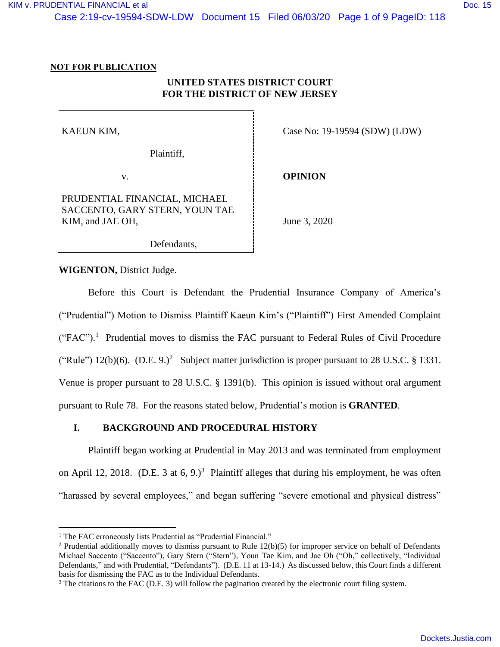Case 2:19-cv-19594-SDW-LDW Document 15 Filed 06/03/20 Page 1 of 9 PageID: 118

### **NOT FOR PUBLICATION**

# **UNITED STATES DISTRICT COURT FOR THE DISTRICT OF NEW JERSEY**

KAEUN KIM,

Plaintiff,

v.

PRUDENTIAL FINANCIAL, MICHAEL SACCENTO, GARY STERN, YOUN TAE KIM, and JAE OH,

Case No: 19-19594 (SDW) (LDW)

**OPINION**

June 3, 2020

Defendants,

**WIGENTON,** District Judge.

Before this Court is Defendant the Prudential Insurance Company of America's ("Prudential") Motion to Dismiss Plaintiff Kaeun Kim's ("Plaintiff") First Amended Complaint  $("FAC")$ .<sup>1</sup> Prudential moves to dismiss the FAC pursuant to Federal Rules of Civil Procedure ("Rule")  $12(b)(6)$ . (D.E. 9.)<sup>2</sup> Subject matter jurisdiction is proper pursuant to 28 U.S.C. § 1331. Venue is proper pursuant to 28 U.S.C. § 1391(b). This opinion is issued without oral argument pursuant to Rule 78. For the reasons stated below, Prudential's motion is **GRANTED**.

### **I. BACKGROUND AND PROCEDURAL HISTORY**

Plaintiff began working at Prudential in May 2013 and was terminated from employment on April 12, 2018. (D.E. 3 at 6, 9.)<sup>3</sup> Plaintiff alleges that during his employment, he was often "harassed by several employees," and began suffering "severe emotional and physical distress"

<sup>&</sup>lt;sup>1</sup> The FAC erroneously lists Prudential as "Prudential Financial."

<sup>&</sup>lt;sup>2</sup> Prudential additionally moves to dismiss pursuant to Rule  $12(b)(5)$  for improper service on behalf of Defendants Michael Saccento ("Saccento"), Gary Stern ("Stern"), Youn Tae Kim, and Jae Oh ("Oh," collectively, "Individual Defendants," and with Prudential, "Defendants"). (D.E. 11 at 13-14.) As discussed below, this Court finds a different basis for dismissing the FAC as to the Individual Defendants.

<sup>&</sup>lt;sup>3</sup> The citations to the FAC (D.E. 3) will follow the pagination created by the electronic court filing system.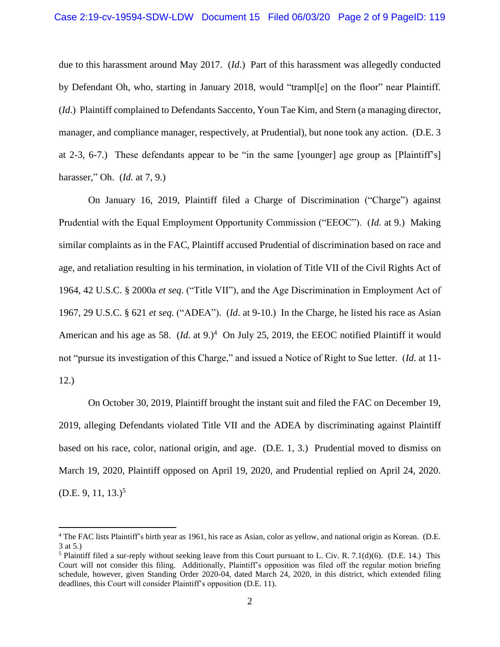due to this harassment around May 2017. (*Id*.) Part of this harassment was allegedly conducted by Defendant Oh, who, starting in January 2018, would "trampl[e] on the floor" near Plaintiff. (*Id*.) Plaintiff complained to Defendants Saccento, Youn Tae Kim, and Stern (a managing director, manager, and compliance manager, respectively, at Prudential), but none took any action. (D.E. 3 at 2-3, 6-7.) These defendants appear to be "in the same [younger] age group as [Plaintiff's] harasser," Oh. (*Id.* at 7, 9.)

On January 16, 2019, Plaintiff filed a Charge of Discrimination ("Charge") against Prudential with the Equal Employment Opportunity Commission ("EEOC"). (*Id.* at 9.) Making similar complaints as in the FAC, Plaintiff accused Prudential of discrimination based on race and age, and retaliation resulting in his termination, in violation of Title VII of the Civil Rights Act of 1964, 42 U.S.C. § 2000a *et seq*. ("Title VII"), and the Age Discrimination in Employment Act of 1967, 29 U.S.C. § 621 *et seq.* ("ADEA"). (*Id*. at 9-10.) In the Charge, he listed his race as Asian American and his age as 58.  $(Id.$  at 9. $)^4$  On July 25, 2019, the EEOC notified Plaintiff it would not "pursue its investigation of this Charge," and issued a Notice of Right to Sue letter. (*Id*. at 11- 12.)

On October 30, 2019, Plaintiff brought the instant suit and filed the FAC on December 19, 2019, alleging Defendants violated Title VII and the ADEA by discriminating against Plaintiff based on his race, color, national origin, and age. (D.E. 1, 3.) Prudential moved to dismiss on March 19, 2020, Plaintiff opposed on April 19, 2020, and Prudential replied on April 24, 2020.  $(D.E. 9, 11, 13.)^5$ 

<sup>4</sup> The FAC lists Plaintiff's birth year as 1961, his race as Asian, color as yellow, and national origin as Korean. (D.E. 3 at 5.)

<sup>&</sup>lt;sup>5</sup> Plaintiff filed a sur-reply without seeking leave from this Court pursuant to L. Civ. R. 7.1(d)(6). (D.E. 14.) This Court will not consider this filing. Additionally, Plaintiff's opposition was filed off the regular motion briefing schedule, however, given Standing Order 2020-04, dated March 24, 2020, in this district, which extended filing deadlines, this Court will consider Plaintiff's opposition (D.E. 11).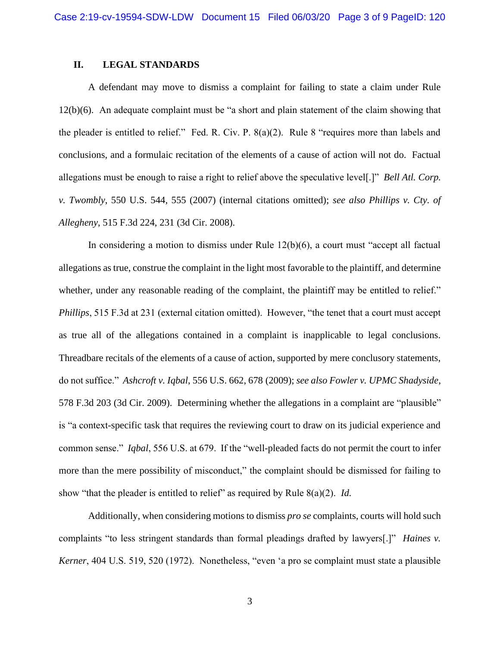#### **II. LEGAL STANDARDS**

A defendant may move to dismiss a complaint for failing to state a claim under Rule 12(b)(6). An adequate complaint must be "a short and plain statement of the claim showing that the pleader is entitled to relief." Fed. R. Civ. P. 8(a)(2). Rule 8 "requires more than labels and conclusions, and a formulaic recitation of the elements of a cause of action will not do. Factual allegations must be enough to raise a right to relief above the speculative level[.]" *Bell Atl. Corp. v. Twombly*, 550 U.S. 544, 555 (2007) (internal citations omitted); *see also Phillips v. Cty. of Allegheny*, 515 F.3d 224, 231 (3d Cir. 2008).

In considering a motion to dismiss under Rule 12(b)(6), a court must "accept all factual allegations as true, construe the complaint in the light most favorable to the plaintiff, and determine whether, under any reasonable reading of the complaint, the plaintiff may be entitled to relief." *Phillips*, 515 F.3d at 231 (external citation omitted). However, "the tenet that a court must accept as true all of the allegations contained in a complaint is inapplicable to legal conclusions. Threadbare recitals of the elements of a cause of action, supported by mere conclusory statements, do not suffice." *Ashcroft v. Iqbal*, 556 U.S. 662, 678 (2009); *see also Fowler v. UPMC Shadyside*, 578 F.3d 203 (3d Cir. 2009). Determining whether the allegations in a complaint are "plausible" is "a context-specific task that requires the reviewing court to draw on its judicial experience and common sense." *Iqbal*, 556 U.S. at 679. If the "well-pleaded facts do not permit the court to infer more than the mere possibility of misconduct," the complaint should be dismissed for failing to show "that the pleader is entitled to relief" as required by Rule 8(a)(2). *Id.*

Additionally, when considering motions to dismiss *pro se* complaints, courts will hold such complaints "to less stringent standards than formal pleadings drafted by lawyers[.]" *Haines v. Kerner*, 404 U.S. 519, 520 (1972). Nonetheless, "even 'a pro se complaint must state a plausible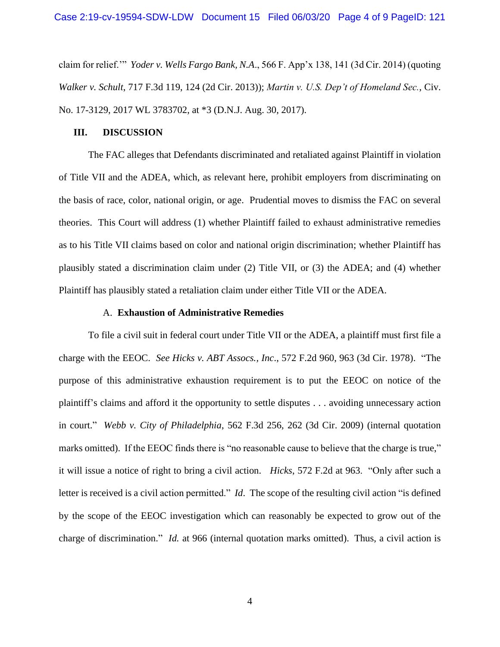claim for relief.'" *Yoder v. Wells Fargo Bank, N.A*., 566 F. App'x 138, 141 (3d Cir. 2014) (quoting *Walker v. Schult*, 717 F.3d 119, 124 (2d Cir. 2013)); *Martin v. U.S. Dep't of Homeland Sec.*, Civ. No. 17-3129, 2017 WL 3783702, at \*3 (D.N.J. Aug. 30, 2017).

#### **III. DISCUSSION**

The FAC alleges that Defendants discriminated and retaliated against Plaintiff in violation of Title VII and the ADEA, which, as relevant here, prohibit employers from discriminating on the basis of race, color, national origin, or age. Prudential moves to dismiss the FAC on several theories. This Court will address (1) whether Plaintiff failed to exhaust administrative remedies as to his Title VII claims based on color and national origin discrimination; whether Plaintiff has plausibly stated a discrimination claim under (2) Title VII, or (3) the ADEA; and (4) whether Plaintiff has plausibly stated a retaliation claim under either Title VII or the ADEA.

#### A. **Exhaustion of Administrative Remedies**

To file a civil suit in federal court under Title VII or the ADEA, a plaintiff must first file a charge with the EEOC. *See Hicks v. ABT Assocs., Inc*., 572 F.2d 960, 963 (3d Cir. 1978). "The purpose of this administrative exhaustion requirement is to put the EEOC on notice of the plaintiff's claims and afford it the opportunity to settle disputes . . . avoiding unnecessary action in court." *Webb v. City of Philadelphia*, 562 F.3d 256, 262 (3d Cir. 2009) (internal quotation marks omitted). If the EEOC finds there is "no reasonable cause to believe that the charge is true," it will issue a notice of right to bring a civil action. *Hicks*, 572 F.2d at 963. "Only after such a letter is received is a civil action permitted." *Id*. The scope of the resulting civil action "is defined by the scope of the EEOC investigation which can reasonably be expected to grow out of the charge of discrimination." *Id.* at 966 (internal quotation marks omitted). Thus, a civil action is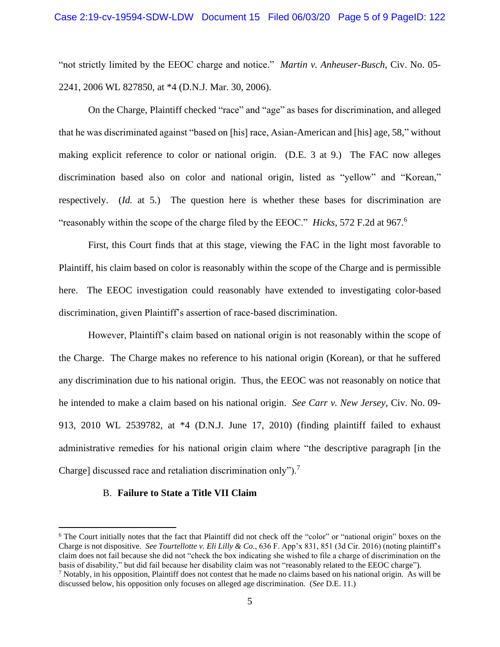"not strictly limited by the EEOC charge and notice." *Martin v. Anheuser-Busch*, Civ. No. 05- 2241, 2006 WL 827850, at \*4 (D.N.J. Mar. 30, 2006).

On the Charge, Plaintiff checked "race" and "age" as bases for discrimination, and alleged that he was discriminated against "based on [his] race, Asian-American and [his] age, 58," without making explicit reference to color or national origin. (D.E. 3 at 9.) The FAC now alleges discrimination based also on color and national origin, listed as "yellow" and "Korean," respectively. (*Id.* at 5.) The question here is whether these bases for discrimination are "reasonably within the scope of the charge filed by the EEOC." *Hicks*, 572 F.2d at 967.<sup>6</sup>

First, this Court finds that at this stage, viewing the FAC in the light most favorable to Plaintiff, his claim based on color is reasonably within the scope of the Charge and is permissible here. The EEOC investigation could reasonably have extended to investigating color-based discrimination, given Plaintiff's assertion of race-based discrimination.

However, Plaintiff's claim based on national origin is not reasonably within the scope of the Charge. The Charge makes no reference to his national origin (Korean), or that he suffered any discrimination due to his national origin. Thus, the EEOC was not reasonably on notice that he intended to make a claim based on his national origin. *See Carr v. New Jersey*, Civ. No. 09- 913, 2010 WL 2539782, at \*4 (D.N.J. June 17, 2010) (finding plaintiff failed to exhaust administrative remedies for his national origin claim where "the descriptive paragraph [in the Charge] discussed race and retaliation discrimination only").<sup>7</sup>

#### B. **Failure to State a Title VII Claim**

<sup>&</sup>lt;sup>6</sup> The Court initially notes that the fact that Plaintiff did not check off the "color" or "national origin" boxes on the Charge is not dispositive. *See Tourtellotte v. Eli Lilly & Co*., 636 F. App'x 831, 851 (3d Cir. 2016) (noting plaintiff's claim does not fail because she did not "check the box indicating she wished to file a charge of discrimination on the basis of disability," but did fail because her disability claim was not "reasonably related to the EEOC charge"). <sup>7</sup> Notably, in his opposition, Plaintiff does not contest that he made no claims based on his national origin. As will be discussed below, his opposition only focuses on alleged age discrimination. (*See* D.E. 11.)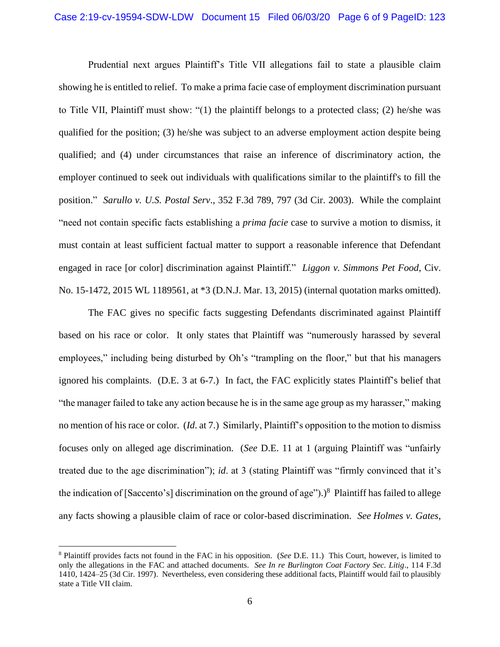Prudential next argues Plaintiff's Title VII allegations fail to state a plausible claim showing he is entitled to relief. To make a prima facie case of employment discrimination pursuant to Title VII, Plaintiff must show: "(1) the plaintiff belongs to a protected class; (2) he/she was qualified for the position; (3) he/she was subject to an adverse employment action despite being qualified; and (4) under circumstances that raise an inference of discriminatory action, the employer continued to seek out individuals with qualifications similar to the plaintiff's to fill the position." *Sarullo v. U.S. Postal Serv*., 352 F.3d 789, 797 (3d Cir. 2003). While the complaint "need not contain specific facts establishing a *prima facie* case to survive a motion to dismiss, it must contain at least sufficient factual matter to support a reasonable inference that Defendant engaged in race [or color] discrimination against Plaintiff." *Liggon v. Simmons Pet Food*, Civ. No. 15-1472, 2015 WL 1189561, at \*3 (D.N.J. Mar. 13, 2015) (internal quotation marks omitted).

The FAC gives no specific facts suggesting Defendants discriminated against Plaintiff based on his race or color. It only states that Plaintiff was "numerously harassed by several employees," including being disturbed by Oh's "trampling on the floor," but that his managers ignored his complaints. (D.E. 3 at 6-7.) In fact, the FAC explicitly states Plaintiff's belief that "the manager failed to take any action because he is in the same age group as my harasser," making no mention of his race or color. (*Id*. at 7.) Similarly, Plaintiff's opposition to the motion to dismiss focuses only on alleged age discrimination. (*See* D.E. 11 at 1 (arguing Plaintiff was "unfairly treated due to the age discrimination"); *id*. at 3 (stating Plaintiff was "firmly convinced that it's the indication of [Saccento's] discrimination on the ground of age").)<sup>8</sup> Plaintiff has failed to allege any facts showing a plausible claim of race or color-based discrimination. *See Holmes v. Gates*,

<sup>8</sup> Plaintiff provides facts not found in the FAC in his opposition. (*See* D.E. 11.) This Court, however, is limited to only the allegations in the FAC and attached documents. *See In re Burlington Coat Factory Sec. Litig*., 114 F.3d 1410, 1424–25 (3d Cir. 1997). Nevertheless, even considering these additional facts, Plaintiff would fail to plausibly state a Title VII claim.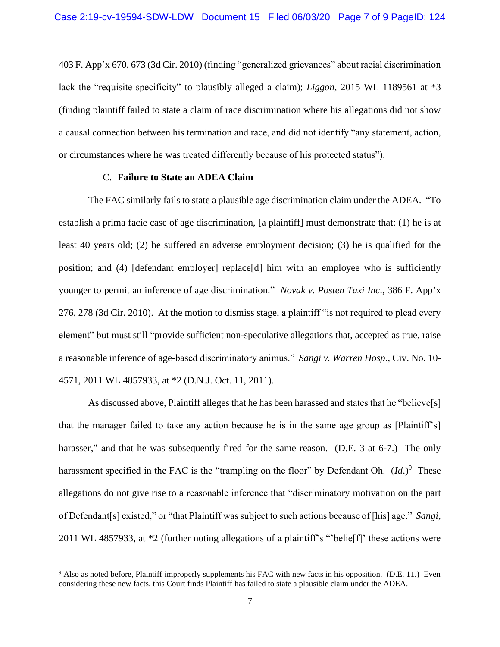403 F. App'x 670, 673 (3d Cir. 2010) (finding "generalized grievances" about racial discrimination lack the "requisite specificity" to plausibly alleged a claim); *Liggon*, 2015 WL 1189561 at \*3 (finding plaintiff failed to state a claim of race discrimination where his allegations did not show a causal connection between his termination and race, and did not identify "any statement, action, or circumstances where he was treated differently because of his protected status").

### C. **Failure to State an ADEA Claim**

The FAC similarly fails to state a plausible age discrimination claim under the ADEA. "To establish a prima facie case of age discrimination, [a plaintiff] must demonstrate that: (1) he is at least 40 years old; (2) he suffered an adverse employment decision; (3) he is qualified for the position; and (4) [defendant employer] replace[d] him with an employee who is sufficiently younger to permit an inference of age discrimination." *Novak v. Posten Taxi Inc*., 386 F. App'x 276, 278 (3d Cir. 2010). At the motion to dismiss stage, a plaintiff "is not required to plead every element" but must still "provide sufficient non-speculative allegations that, accepted as true, raise a reasonable inference of age-based discriminatory animus." *Sangi v. Warren Hosp*., Civ. No. 10- 4571, 2011 WL 4857933, at \*2 (D.N.J. Oct. 11, 2011).

As discussed above, Plaintiff alleges that he has been harassed and states that he "believe[s] that the manager failed to take any action because he is in the same age group as [Plaintiff's] harasser," and that he was subsequently fired for the same reason. (D.E. 3 at 6-7.) The only harassment specified in the FAC is the "trampling on the floor" by Defendant Oh.  $(Id.)^9$  These allegations do not give rise to a reasonable inference that "discriminatory motivation on the part of Defendant[s] existed," or "that Plaintiff was subject to such actions because of [his] age." *Sangi*, 2011 WL 4857933, at \*2 (further noting allegations of a plaintiff's "'belie[f]' these actions were

<sup>&</sup>lt;sup>9</sup> Also as noted before, Plaintiff improperly supplements his FAC with new facts in his opposition. (D.E. 11.) Even considering these new facts, this Court finds Plaintiff has failed to state a plausible claim under the ADEA.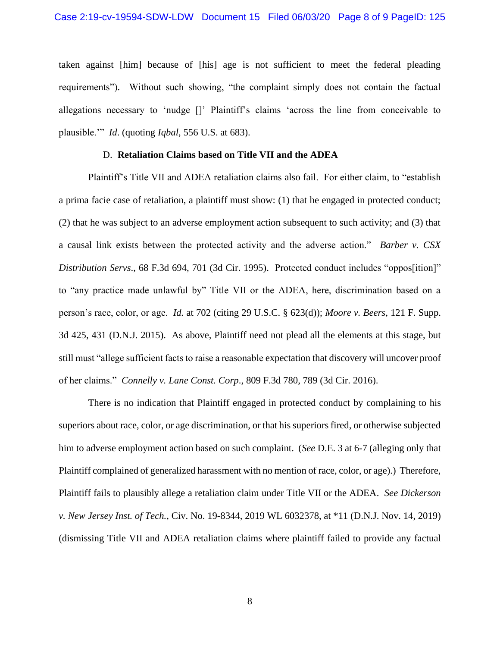taken against [him] because of [his] age is not sufficient to meet the federal pleading requirements"). Without such showing, "the complaint simply does not contain the factual allegations necessary to 'nudge []' Plaintiff's claims 'across the line from conceivable to plausible.'" *Id*. (quoting *Iqbal*, 556 U.S. at 683).

#### D. **Retaliation Claims based on Title VII and the ADEA**

Plaintiff's Title VII and ADEA retaliation claims also fail. For either claim, to "establish a prima facie case of retaliation, a plaintiff must show: (1) that he engaged in protected conduct; (2) that he was subject to an adverse employment action subsequent to such activity; and (3) that a causal link exists between the protected activity and the adverse action." *Barber v. CSX Distribution Servs*., 68 F.3d 694, 701 (3d Cir. 1995). Protected conduct includes "oppos[ition]" to "any practice made unlawful by" Title VII or the ADEA, here, discrimination based on a person's race, color, or age. *Id.* at 702 (citing 29 U.S.C. § 623(d)); *Moore v. Beers*, 121 F. Supp. 3d 425, 431 (D.N.J. 2015). As above, Plaintiff need not plead all the elements at this stage, but still must "allege sufficient facts to raise a reasonable expectation that discovery will uncover proof of her claims." *Connelly v. Lane Const. Corp*., 809 F.3d 780, 789 (3d Cir. 2016).

There is no indication that Plaintiff engaged in protected conduct by complaining to his superiors about race, color, or age discrimination, or that his superiors fired, or otherwise subjected him to adverse employment action based on such complaint. (*See* D.E. 3 at 6-7 (alleging only that Plaintiff complained of generalized harassment with no mention of race, color, or age).) Therefore, Plaintiff fails to plausibly allege a retaliation claim under Title VII or the ADEA. *See Dickerson v. New Jersey Inst. of Tech.*, Civ. No. 19-8344, 2019 WL 6032378, at \*11 (D.N.J. Nov. 14, 2019) (dismissing Title VII and ADEA retaliation claims where plaintiff failed to provide any factual